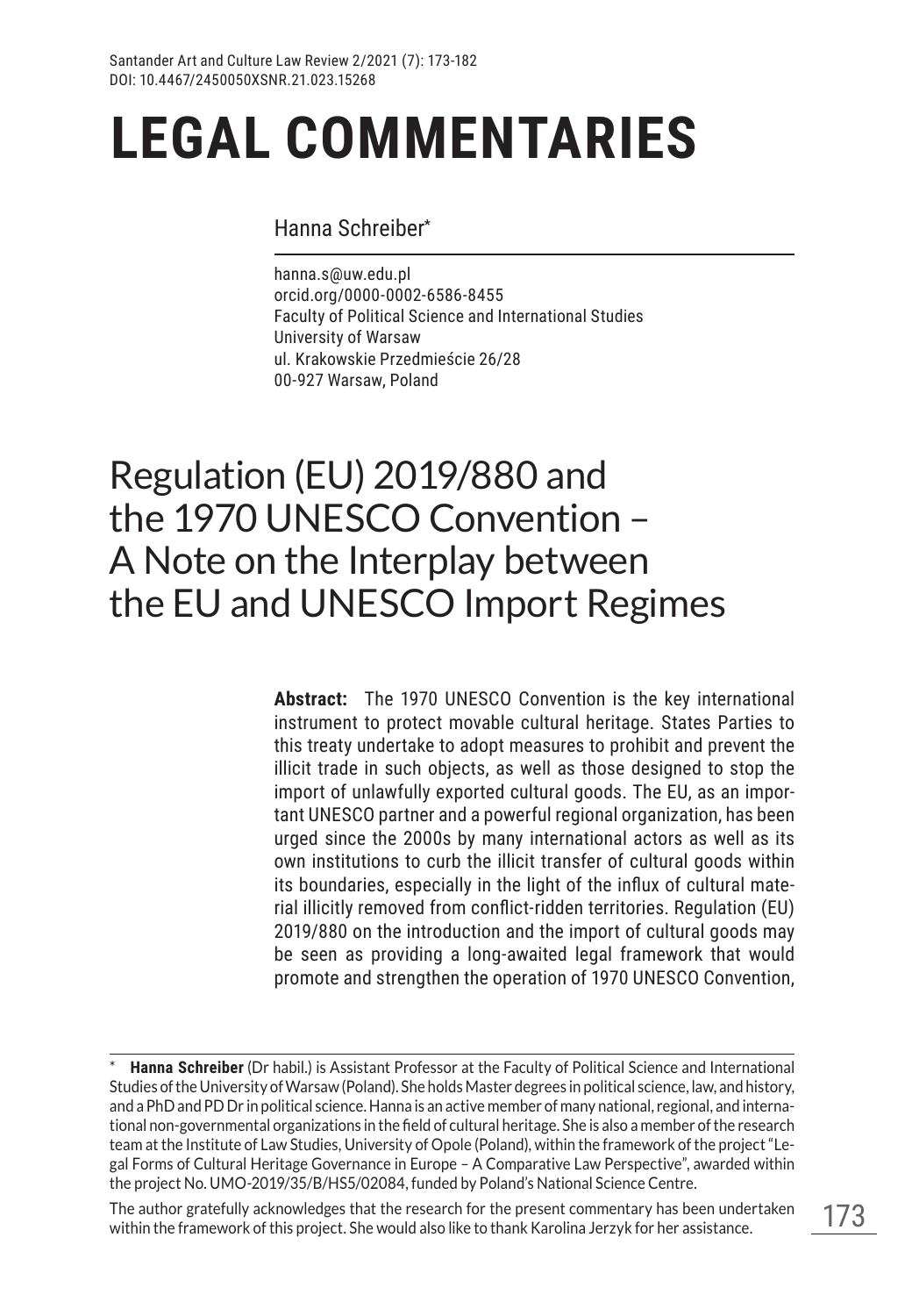#### Hanna Schreiber**\***

hanna.s@uw.edu.pl orcid.org/0000-0002-6586-8455 Faculty of Political Science and International Studies University of Warsaw ul. Krakowskie Przedmieście 26/28 00-927 Warsaw, Poland

## Regulation (EU) 2019/880 and the 1970 UNESCO Convention – A Note on the Interplay between the EU and UNESCO Import Regimes

**Abstract:** The 1970 UNESCO Convention is the key international instrument to protect movable cultural heritage. States Parties to this treaty undertake to adopt measures to prohibit and prevent the illicit trade in such objects, as well as those designed to stop the import of unlawfully exported cultural goods. The EU, as an important UNESCO partner and a powerful regional organization, has been urged since the 2000s by many international actors as well as its own institutions to curb the illicit transfer of cultural goods within its boundaries, especially in the light of the influx of cultural material illicitly removed from conflict-ridden territories. Regulation (EU) 2019/880 on the introduction and the import of cultural goods may be seen as providing a long-awaited legal framework that would promote and strengthen the operation of 1970 UNESCO Convention,

The author gratefully acknowledges that the research for the present commentary has been undertaken within the framework of this project. She would also like to thank Karolina Jerzyk for her assistance.

**Hanna Schreiber** (Dr habil.) is Assistant Professor at the Faculty of Political Science and International Studies of the University of Warsaw (Poland). She holds Master degrees in political science, law, and history, and a PhD and PD Dr in political science. Hanna is an active member of many national, regional, and international non-governmental organizations in the field of cultural heritage. She is also a member of the research team at the Institute of Law Studies, University of Opole (Poland), within the framework of the project "Legal Forms of Cultural Heritage Governance in Europe – A Comparative Law Perspective", awarded within the project No. UMO-2019/35/B/HS5/02084, funded by Poland's National Science Centre.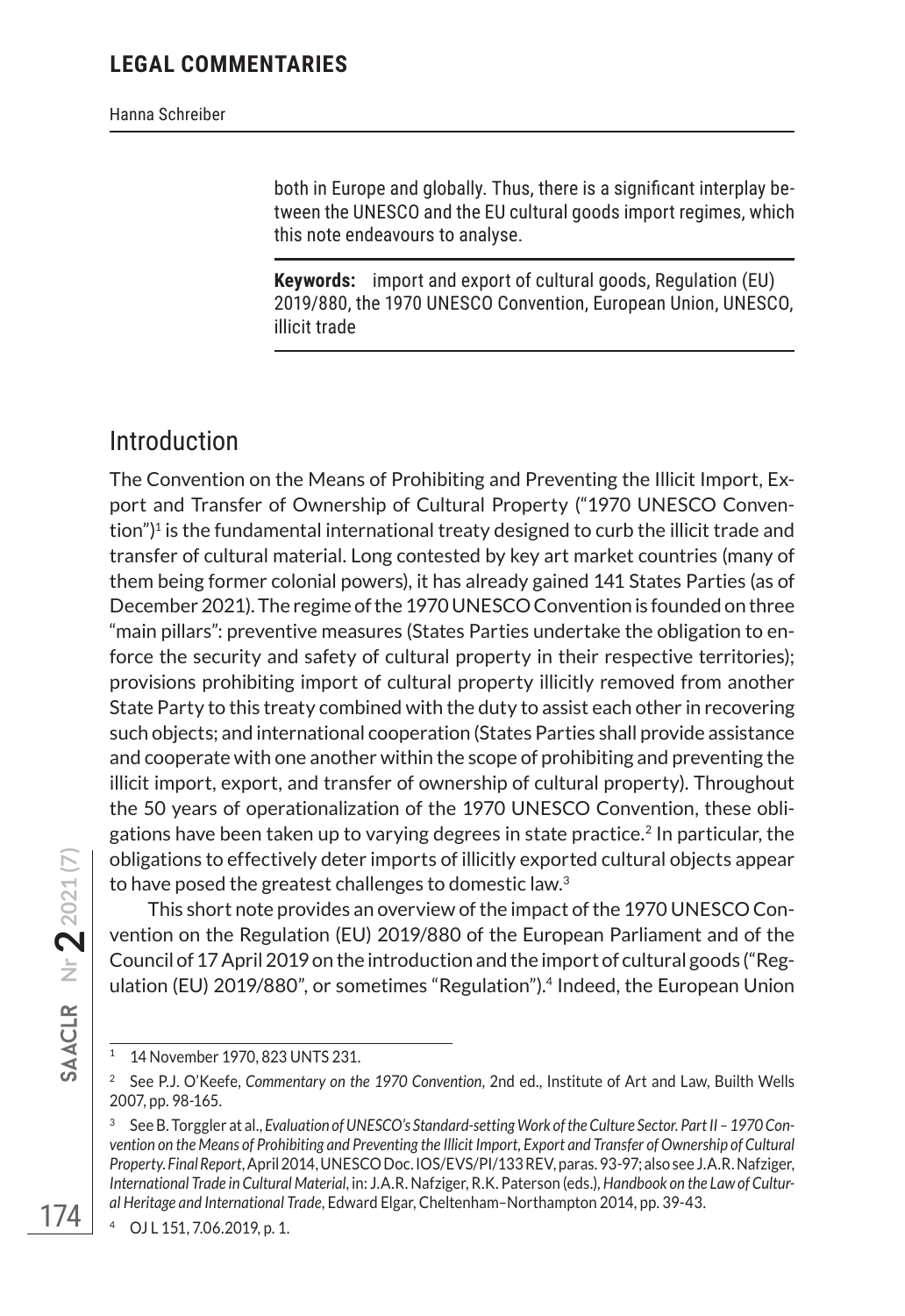both in Europe and globally. Thus, there is a significant interplay between the UNESCO and the EU cultural goods import regimes, which this note endeavours to analyse.

**Keywords:** import and export of cultural goods, Regulation (EU) 2019/880, the 1970 UNESCO Convention, European Union, UNESCO, illicit trade

## Introduction

The Convention on the Means of Prohibiting and Preventing the Illicit Import, Export and Transfer of Ownership of Cultural Property ("1970 UNESCO Convention")<sup>1</sup> is the fundamental international treaty designed to curb the illicit trade and transfer of cultural material. Long contested by key art market countries (many of them being former colonial powers), it has already gained 141 States Parties (as of December 2021). The regime of the 1970 UNESCO Convention is founded on three "main pillars": preventive measures (States Parties undertake the obligation to enforce the security and safety of cultural property in their respective territories); provisions prohibiting import of cultural property illicitly removed from another State Party to this treaty combined with the duty to assist each other in recovering such objects; and international cooperation (States Parties shall provide assistance and cooperate with one another within the scope of prohibiting and preventing the illicit import, export, and transfer of ownership of cultural property). Throughout the 50 years of operationalization of the 1970 UNESCO Convention, these obligations have been taken up to varying degrees in state practice.<sup>2</sup> In particular, the obligations to effectively deter imports of illicitly exported cultural objects appear to have posed the greatest challenges to domestic law.3

This short note provides an overview of the impact of the 1970 UNESCO Convention on the Regulation (EU) 2019/880 of the European Parliament and of the Council of 17 April 2019 on the introduction and the import of cultural goods ("Regulation (EU) 2019/880", or sometimes "Regulation").4 Indeed, the European Union

<sup>4</sup> OJ L 151, 7.06.2019, p. 1.

<sup>1</sup> 14 November 1970, 823 UNTS 231.

<sup>2</sup> See P.J. O'Keefe, *Commentary on the 1970 Convention*, 2nd ed., Institute of Art and Law, Builth Wells 2007, pp. 98-165.

<sup>3</sup> See B. Torggler at al., *Evaluation of UNESCO's Standard-setting Work of the Culture Sector. Part II – 1970 Convention on the Means of Prohibiting and Preventing the Illicit Import, Export and Transfer of Ownership of Cultural Property. Final Report*, April 2014, UNESCO Doc. IOS/EVS/PI/133 REV, paras. 93-97; also see J.A.R. Nafziger, *International Trade in Cultural Material*, in: J.A.R. Nafziger, R.K. Paterson (eds.), *Handbook on the Law of Cultural Heritage and International Trade*, Edward Elgar, Cheltenham–Northampton 2014, pp. 39-43.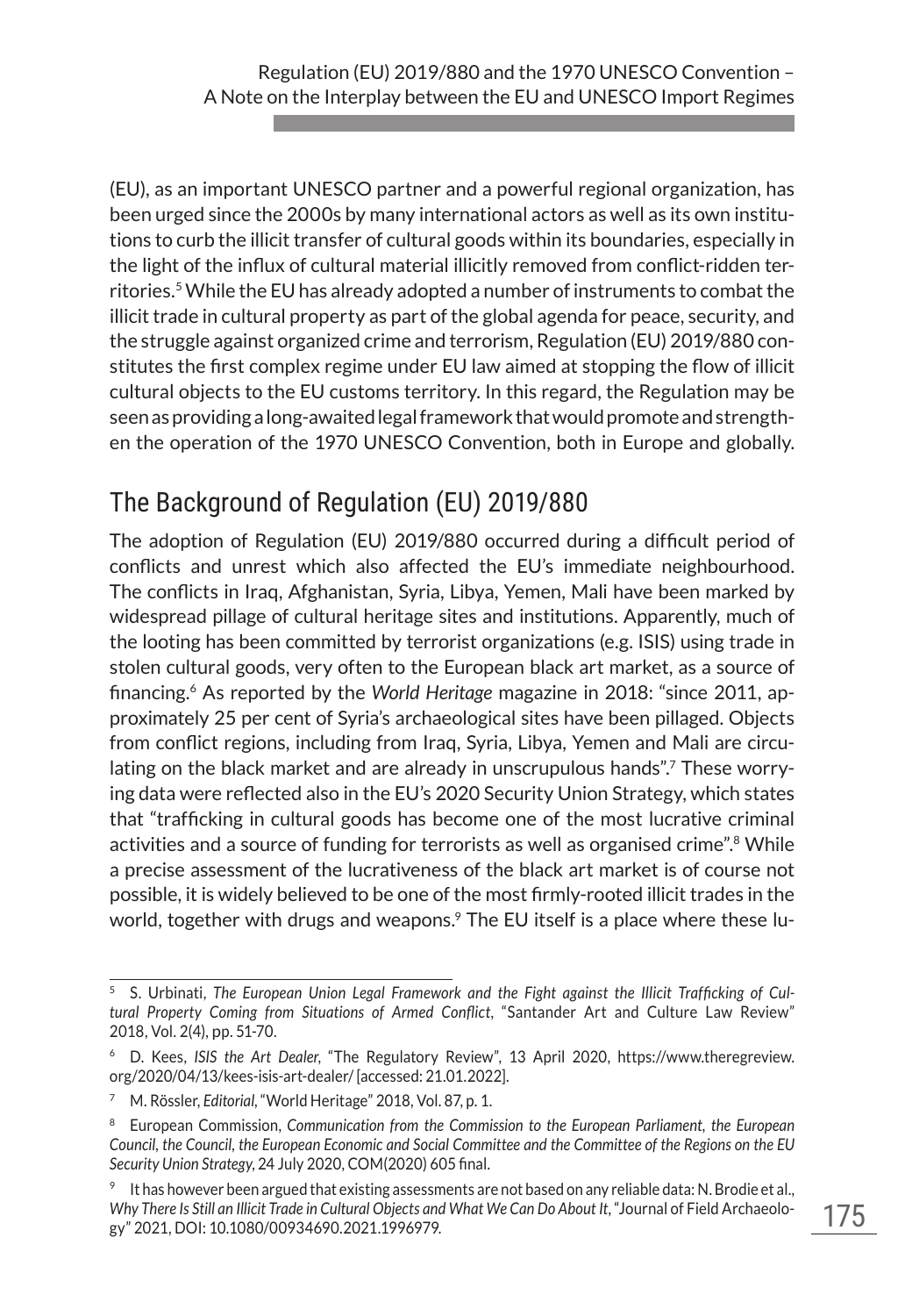(EU), as an important UNESCO partner and a powerful regional organization, has been urged since the 2000s by many international actors as well as its own institutions to curb the illicit transfer of cultural goods within its boundaries, especially in the light of the influx of cultural material illicitly removed from conflict-ridden territories.5 While the EU has already adopted a number of instruments to combat the illicit trade in cultural property as part of the global agenda for peace, security, and the struggle against organized crime and terrorism, Regulation (EU) 2019/880 constitutes the first complex regime under EU law aimed at stopping the flow of illicit cultural objects to the EU customs territory. In this regard, the Regulation may be seen as providing a long-awaited legal framework that would promote and strengthen the operation of the 1970 UNESCO Convention, both in Europe and globally.

## The Background of Regulation (EU) 2019/880

The adoption of Regulation (EU) 2019/880 occurred during a difficult period of conflicts and unrest which also affected the EU's immediate neighbourhood. The conflicts in Iraq, Afghanistan, Syria, Libya, Yemen, Mali have been marked by widespread pillage of cultural heritage sites and institutions. Apparently, much of the looting has been committed by terrorist organizations (e.g. ISIS) using trade in stolen cultural goods, very often to the European black art market, as a source of financing.6 As reported by the *World Heritage* magazine in 2018: "since 2011, approximately 25 per cent of Syria's archaeological sites have been pillaged. Objects from conflict regions, including from Iraq, Syria, Libya, Yemen and Mali are circulating on the black market and are already in unscrupulous hands".<sup>7</sup> These worrying data were reflected also in the EU's 2020 Security Union Strategy, which states that "trafficking in cultural goods has become one of the most lucrative criminal activities and a source of funding for terrorists as well as organised crime".<sup>8</sup> While a precise assessment of the lucrativeness of the black art market is of course not possible, it is widely believed to be one of the most firmly-rooted illicit trades in the world, together with drugs and weapons.<sup>9</sup> The EU itself is a place where these lu-

<sup>5</sup> S. Urbinati, *The European Union Legal Framework and the Fight against the Illicit Trafficking of Cultural Property Coming from Situations of Armed Conflict*, "Santander Art and Culture Law Review" 2018, Vol. 2(4), pp. 51-70.

<sup>6</sup> D. Kees, *ISIS the Art Dealer*, "The Regulatory Review", 13 April 2020, https://www.theregreview. org/2020/04/13/kees-isis-art-dealer/ [accessed: 21.01.2022].

<sup>7</sup> M. Rössler, *Editorial*, "World Heritage" 2018, Vol. 87, p. 1.

<sup>8</sup> European Commission, *Communication from the Commission to the European Parliament, the European Council, the Council, the European Economic and Social Committee and the Committee of the Regions on the EU Security Union Strategy*, 24 July 2020, COM(2020) 605 final.

It has however been argued that existing assessments are not based on any reliable data: N. Brodie et al., Why There Is Still an Illicit Trade in Cultural Objects and What We Can Do About It, "Journal of Field Archaeology" 2021, DOI: 10.1080/00934690.2021.1996979.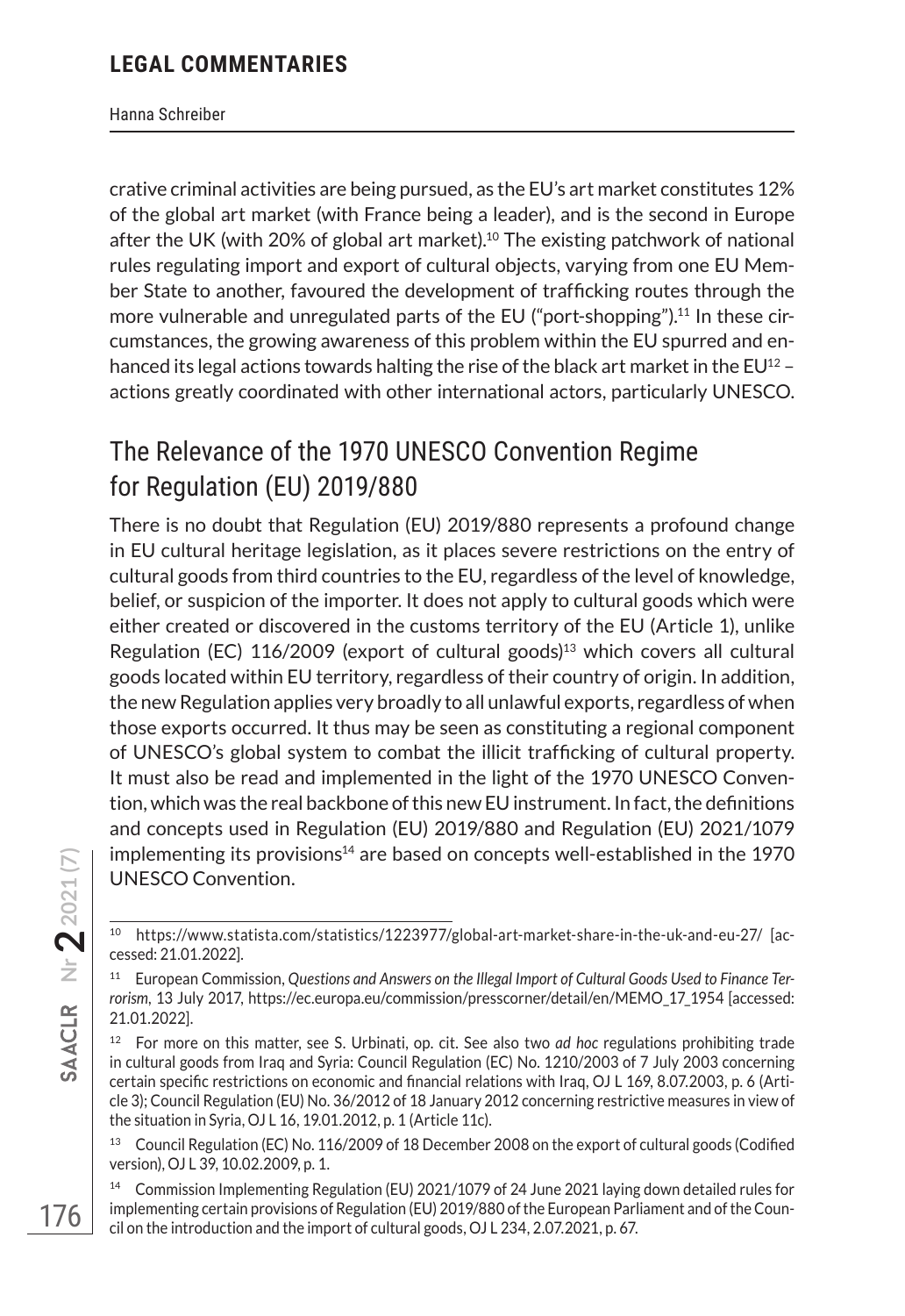Hanna Schreiber

crative criminal activities are being pursued, as the EU's art market constitutes 12% of the global art market (with France being a leader), and is the second in Europe after the UK (with 20% of global art market).10 The existing patchwork of national rules regulating import and export of cultural objects, varying from one EU Member State to another, favoured the development of trafficking routes through the more vulnerable and unregulated parts of the EU ("port-shopping").11 In these circumstances, the growing awareness of this problem within the EU spurred and enhanced its legal actions towards halting the rise of the black art market in the EU<sup>12</sup> actions greatly coordinated with other international actors, particularly UNESCO.

## The Relevance of the 1970 UNESCO Convention Regime for Regulation (EU) 2019/880

There is no doubt that Regulation (EU) 2019/880 represents a profound change in EU cultural heritage legislation, as it places severe restrictions on the entry of cultural goods from third countries to the EU, regardless of the level of knowledge, belief, or suspicion of the importer. It does not apply to cultural goods which were either created or discovered in the customs territory of the EU (Article 1), unlike Regulation (EC)  $116/2009$  (export of cultural goods)<sup>13</sup> which covers all cultural goods located within EU territory, regardless of their country of origin. In addition, the new Regulation applies very broadly to all unlawful exports, regardless of when those exports occurred. It thus may be seen as constituting a regional component of UNESCO's global system to combat the illicit trafficking of cultural property. It must also be read and implemented in the light of the 1970 UNESCO Convention, which was the real backbone of this new EU instrument. In fact, the definitions and concepts used in Regulation (EU) 2019/880 and Regulation (EU) 2021/1079 implementing its provisions $14$  are based on concepts well-established in the 1970 UNESCO Convention.

<sup>10</sup> https://www.statista.com/statistics/1223977/global-art-market-share-in-the-uk-and-eu-27/ [accessed: 21.01.2022].

<sup>11</sup> European Commission, *Questions and Answers on the Illegal Import of Cultural Goods Used to Finance Terrorism*, 13 July 2017, https://ec.europa.eu/commission/presscorner/detail/en/MEMO\_17\_1954 [accessed: 21.01.2022].

<sup>&</sup>lt;sup>12</sup> For more on this matter, see S. Urbinati, op. cit. See also two *ad hoc* regulations prohibiting trade in cultural goods from Iraq and Syria: Council Regulation (EC) No. 1210/2003 of 7 July 2003 concerning certain specific restrictions on economic and financial relations with Iraq, OJ L 169, 8.07.2003, p. 6 (Article 3); Council Regulation (EU) No. 36/2012 of 18 January 2012 concerning restrictive measures in view of the situation in Syria, OJ L 16, 19.01.2012, p. 1 (Article 11c).

<sup>&</sup>lt;sup>13</sup> Council Regulation (EC) No. 116/2009 of 18 December 2008 on the export of cultural goods (Codified version), OJ L 39, 10.02.2009, p. 1.

<sup>14</sup> Commission Implementing Regulation (EU) 2021/1079 of 24 June 2021 laying down detailed rules for implementing certain provisions of Regulation (EU) 2019/880 of the European Parliament and of the Council on the introduction and the import of cultural goods, OJ L 234, 2.07.2021, p. 67.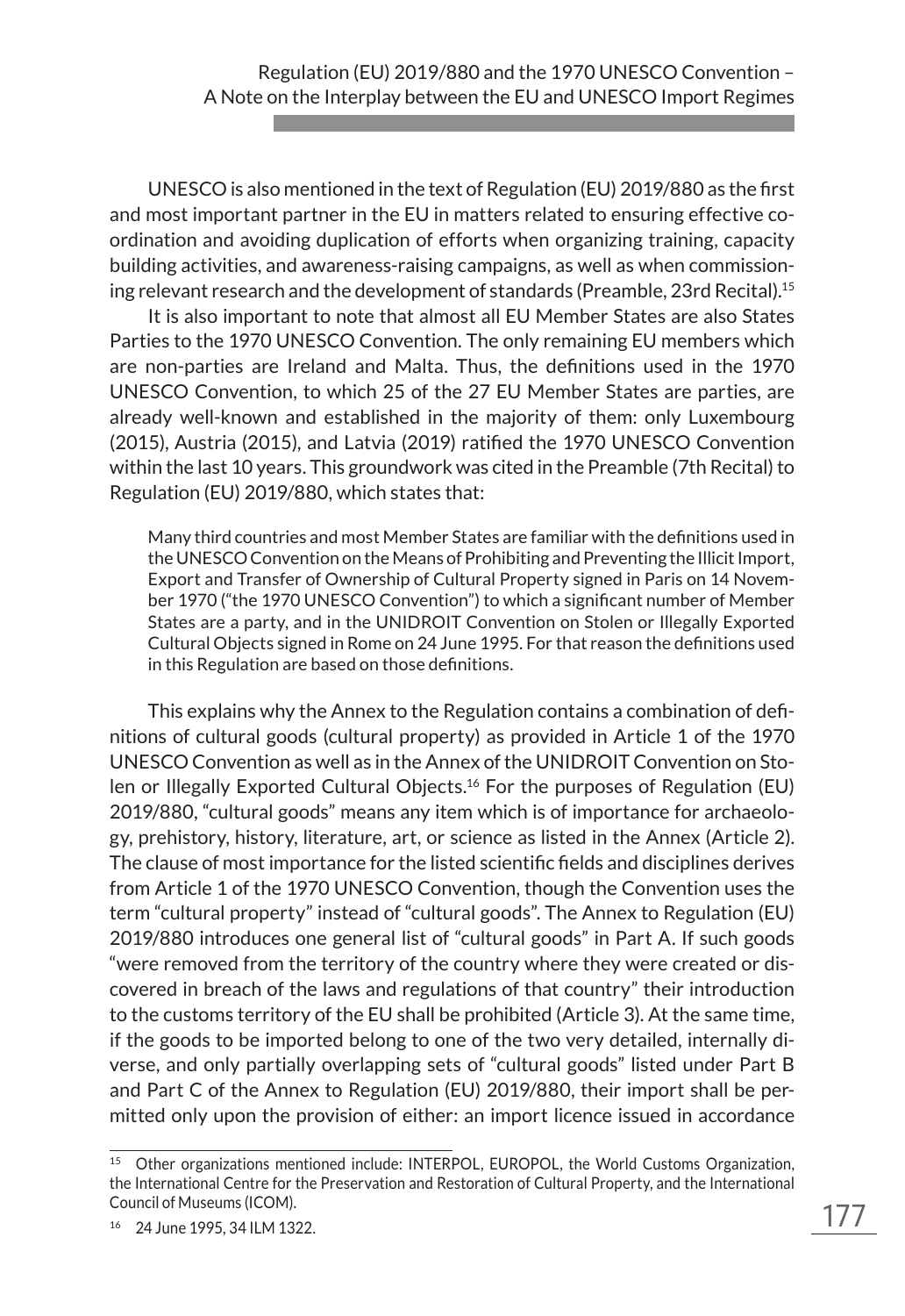UNESCO is also mentioned in the text of Regulation (EU) 2019/880 as the first and most important partner in the EU in matters related to ensuring effective coordination and avoiding duplication of efforts when organizing training, capacity building activities, and awareness-raising campaigns, as well as when commissioning relevant research and the development of standards (Preamble, 23rd Recital).15

It is also important to note that almost all EU Member States are also States Parties to the 1970 UNESCO Convention. The only remaining EU members which are non-parties are Ireland and Malta. Thus, the definitions used in the 1970 UNESCO Convention, to which 25 of the 27 EU Member States are parties, are already well-known and established in the majority of them: only Luxembourg (2015), Austria (2015), and Latvia (2019) ratified the 1970 UNESCO Convention within the last 10 years. This groundwork was cited in the Preamble (7th Recital) to Regulation (EU) 2019/880, which states that:

Many third countries and most Member States are familiar with the definitions used in the UNESCO Convention on the Means of Prohibiting and Preventing the Illicit Import, Export and Transfer of Ownership of Cultural Property signed in Paris on 14 November 1970 ("the 1970 UNESCO Convention") to which a significant number of Member States are a party, and in the UNIDROIT Convention on Stolen or Illegally Exported Cultural Objects signed in Rome on 24 June 1995. For that reason the definitions used in this Regulation are based on those definitions.

This explains why the Annex to the Regulation contains a combination of definitions of cultural goods (cultural property) as provided in Article 1 of the 1970 UNESCO Convention as well as in the Annex of the UNIDROIT Convention on Stolen or Illegally Exported Cultural Objects.<sup>16</sup> For the purposes of Regulation (EU) 2019/880, "cultural goods" means any item which is of importance for archaeology, prehistory, history, literature, art, or science as listed in the Annex (Article 2). The clause of most importance for the listed scientific fields and disciplines derives from Article 1 of the 1970 UNESCO Convention, though the Convention uses the term "cultural property" instead of "cultural goods". The Annex to Regulation (EU) 2019/880 introduces one general list of "cultural goods" in Part A. If such goods "were removed from the territory of the country where they were created or discovered in breach of the laws and regulations of that country" their introduction to the customs territory of the EU shall be prohibited (Article 3). At the same time, if the goods to be imported belong to one of the two very detailed, internally diverse, and only partially overlapping sets of "cultural goods" listed under Part B and Part C of the Annex to Regulation (EU) 2019/880, their import shall be permitted only upon the provision of either: an import licence issued in accordance

<sup>15</sup> Other organizations mentioned include: INTERPOL, EUROPOL, the World Customs Organization, the International Centre for the Preservation and Restoration of Cultural Property, and the International Council of Museums (ICOM).

<sup>16</sup> 24 June 1995, 34 ILM 1322.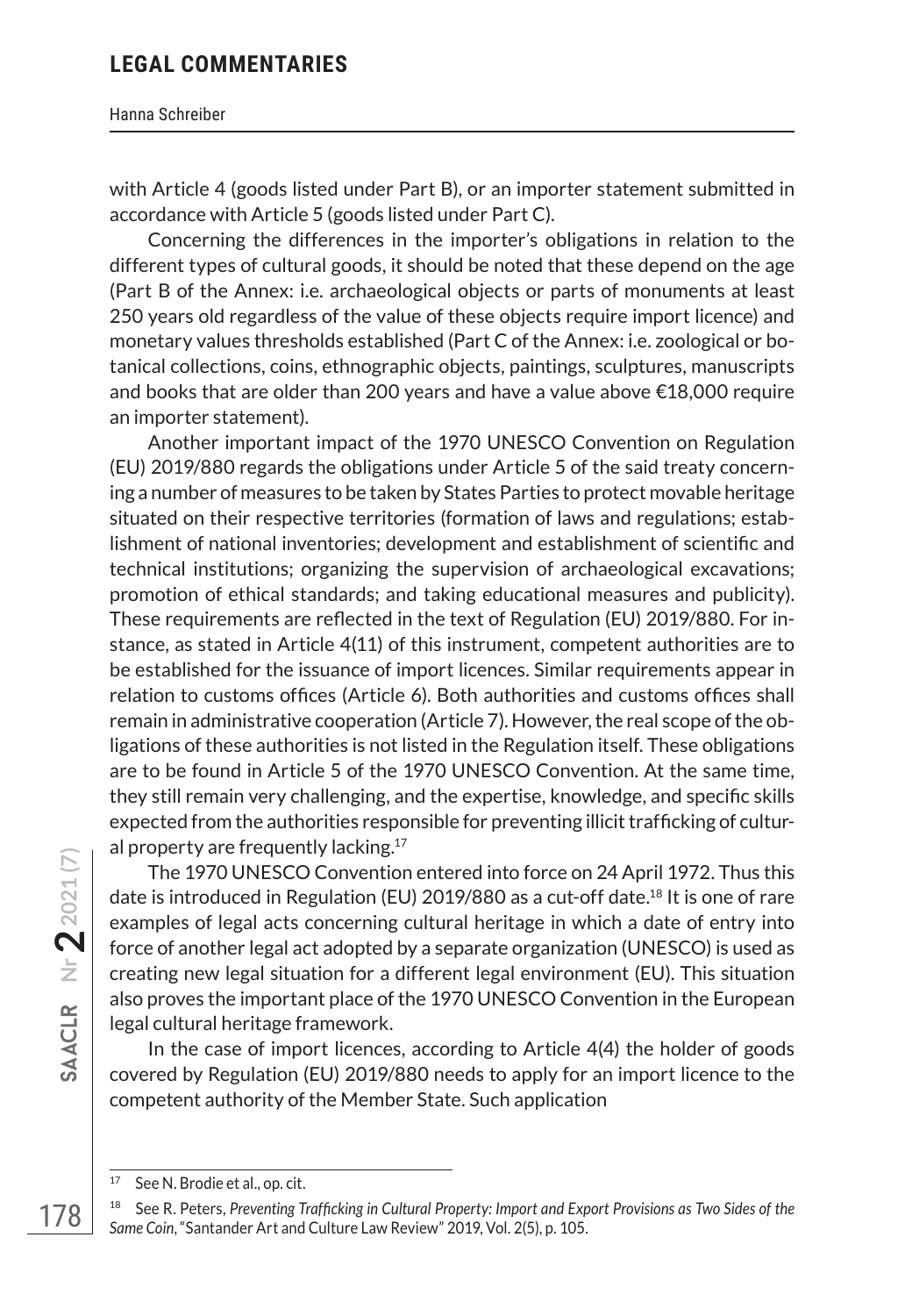#### Hanna Schreiber

with Article 4 (goods listed under Part B), or an importer statement submitted in accordance with Article 5 (goods listed under Part C).

Concerning the differences in the importer's obligations in relation to the different types of cultural goods, it should be noted that these depend on the age (Part B of the Annex: i.e. archaeological objects or parts of monuments at least 250 years old regardless of the value of these objects require import licence) and monetary values thresholds established (Part C of the Annex: i.e. zoological or botanical collections, coins, ethnographic objects, paintings, sculptures, manuscripts and books that are older than 200 years and have a value above €18,000 require an importer statement).

Another important impact of the 1970 UNESCO Convention on Regulation (EU) 2019/880 regards the obligations under Article 5 of the said treaty concerning a number of measures to be taken by States Parties to protect movable heritage situated on their respective territories (formation of laws and regulations; establishment of national inventories; development and establishment of scientific and technical institutions; organizing the supervision of archaeological excavations; promotion of ethical standards; and taking educational measures and publicity). These requirements are reflected in the text of Regulation (EU) 2019/880. For instance, as stated in Article 4(11) of this instrument, competent authorities are to be established for the issuance of import licences. Similar requirements appear in relation to customs offices (Article 6). Both authorities and customs offices shall remain in administrative cooperation (Article 7). However, the real scope of the obligations of these authorities is not listed in the Regulation itself. These obligations are to be found in Article 5 of the 1970 UNESCO Convention. At the same time, they still remain very challenging, and the expertise, knowledge, and specific skills expected from the authorities responsible for preventing illicit trafficking of cultural property are frequently lacking.<sup>17</sup>

The 1970 UNESCO Convention entered into force on 24 April 1972. Thus this date is introduced in Regulation (EU) 2019/880 as a cut-off date.18 It is one of rare examples of legal acts concerning cultural heritage in which a date of entry into force of another legal act adopted by a separate organization (UNESCO) is used as creating new legal situation for a different legal environment (EU). This situation also proves the important place of the 1970 UNESCO Convention in the European legal cultural heritage framework.

In the case of import licences, according to Article 4(4) the holder of goods covered by Regulation (EU) 2019/880 needs to apply for an import licence to the competent authority of the Member State. Such application

**178**<br>178 **SAACLR** Nr 2021 (7)

<sup>17</sup> See N. Brodie et al., op. cit.

<sup>18</sup> See R. Peters, *Preventing Trafficking in Cultural Property: Import and Export Provisions as Two Sides of the Same Coin*, "Santander Art and Culture Law Review" 2019, Vol. 2(5), p. 105.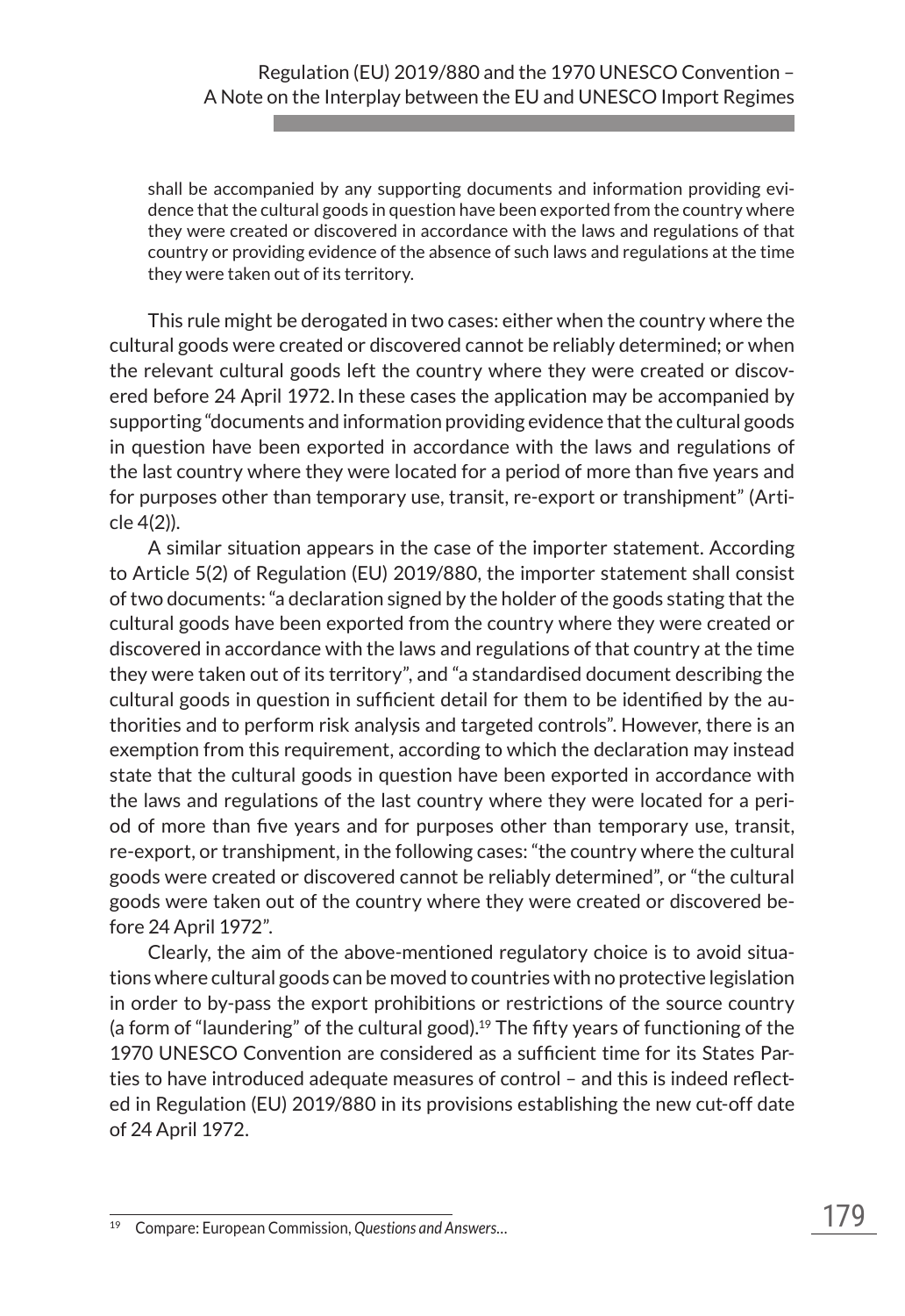shall be accompanied by any supporting documents and information providing evidence that the cultural goods in question have been exported from the country where they were created or discovered in accordance with the laws and regulations of that country or providing evidence of the absence of such laws and regulations at the time they were taken out of its territory.

This rule might be derogated in two cases: either when the country where the cultural goods were created or discovered cannot be reliably determined; or when the relevant cultural goods left the country where they were created or discovered before 24 April 1972.In these cases the application may be accompanied by supporting "documents and information providing evidence that the cultural goods in question have been exported in accordance with the laws and regulations of the last country where they were located for a period of more than five years and for purposes other than temporary use, transit, re-export or transhipment" (Article 4(2)).

A similar situation appears in the case of the importer statement. According to Article 5(2) of Regulation (EU) 2019/880, the importer statement shall consist of two documents: "a declaration signed by the holder of the goods stating that the cultural goods have been exported from the country where they were created or discovered in accordance with the laws and regulations of that country at the time they were taken out of its territory", and "a standardised document describing the cultural goods in question in sufficient detail for them to be identified by the authorities and to perform risk analysis and targeted controls". However, there is an exemption from this requirement, according to which the declaration may instead state that the cultural goods in question have been exported in accordance with the laws and regulations of the last country where they were located for a period of more than five years and for purposes other than temporary use, transit, re-export, or transhipment, in the following cases: "the country where the cultural goods were created or discovered cannot be reliably determined", or "the cultural goods were taken out of the country where they were created or discovered before 24 April 1972".

Clearly, the aim of the above-mentioned regulatory choice is to avoid situations where cultural goods can be moved to countries with no protective legislation in order to by-pass the export prohibitions or restrictions of the source country (a form of "laundering" of the cultural good).<sup>19</sup> The fifty years of functioning of the 1970 UNESCO Convention are considered as a sufficient time for its States Parties to have introduced adequate measures of control – and this is indeed reflected in Regulation (EU) 2019/880 in its provisions establishing the new cut-off date of 24 April 1972.

<sup>19</sup> Compare: European Commission, *Questions and Answers…*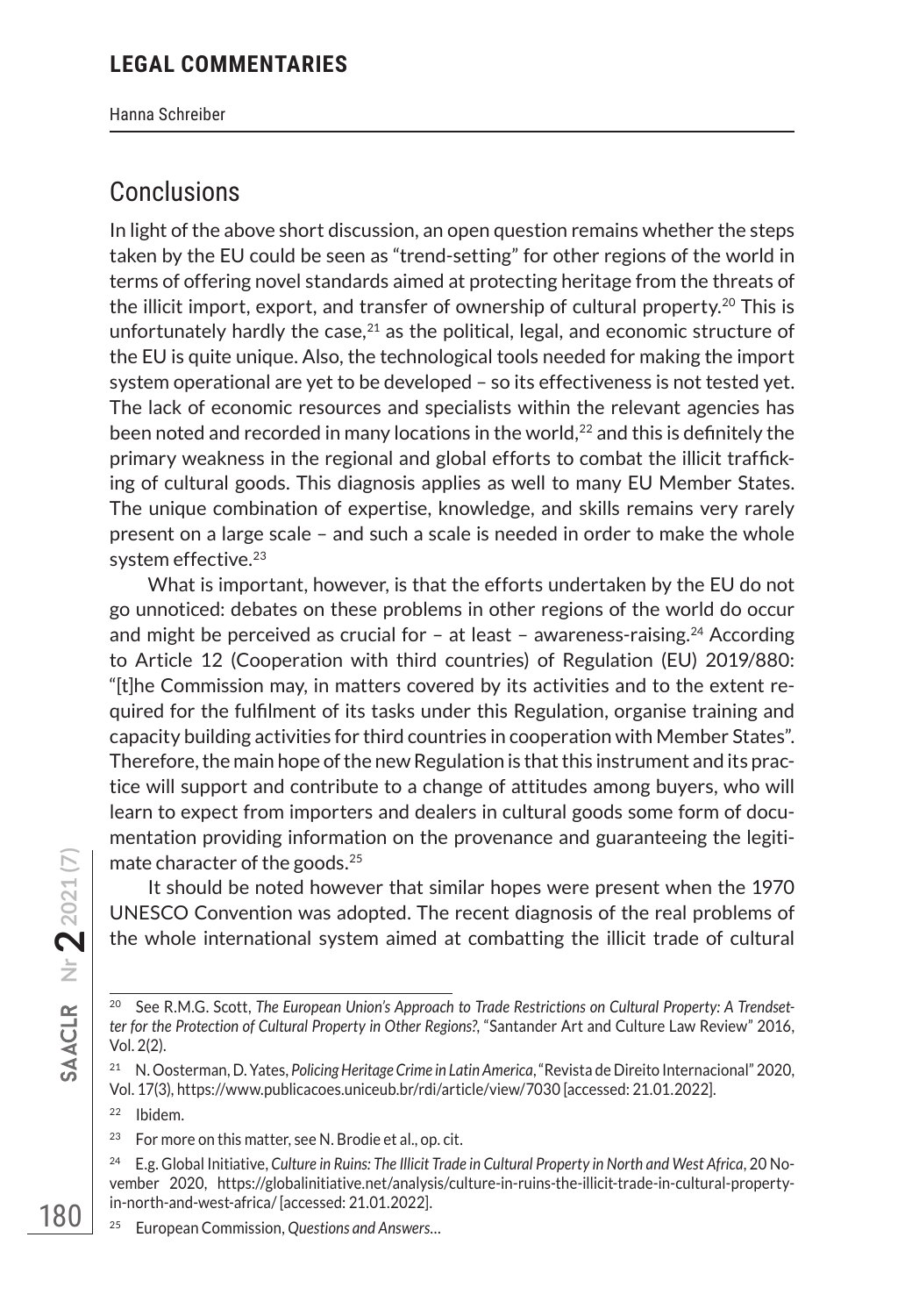Hanna Schreiber

## **Conclusions**

In light of the above short discussion, an open question remains whether the steps taken by the EU could be seen as "trend-setting" for other regions of the world in terms of offering novel standards aimed at protecting heritage from the threats of the illicit import, export, and transfer of ownership of cultural property.20 This is unfortunately hardly the case, $21$  as the political, legal, and economic structure of the EU is quite unique. Also, the technological tools needed for making the import system operational are yet to be developed – so its effectiveness is not tested yet. The lack of economic resources and specialists within the relevant agencies has been noted and recorded in many locations in the world,22 and this is definitely the primary weakness in the regional and global efforts to combat the illicit trafficking of cultural goods. This diagnosis applies as well to many EU Member States. The unique combination of expertise, knowledge, and skills remains very rarely present on a large scale – and such a scale is needed in order to make the whole system effective.<sup>23</sup>

What is important, however, is that the efforts undertaken by the EU do not go unnoticed: debates on these problems in other regions of the world do occur and might be perceived as crucial for  $-$  at least  $-$  awareness-raising.<sup>24</sup> According to Article 12 (Cooperation with third countries) of Regulation (EU) 2019/880: "[t]he Commission may, in matters covered by its activities and to the extent required for the fulfilment of its tasks under this Regulation, organise training and capacity building activities for third countries in cooperation with Member States". Therefore, the main hope of the new Regulation is that this instrument and its practice will support and contribute to a change of attitudes among buyers, who will learn to expect from importers and dealers in cultural goods some form of documentation providing information on the provenance and guaranteeing the legitimate character of the goods.<sup>25</sup>

It should be noted however that similar hopes were present when the 1970 UNESCO Convention was adopted. The recent diagnosis of the real problems of the whole international system aimed at combatting the illicit trade of cultural

- <sup>22</sup> Ibidem.
- <sup>23</sup> For more on this matter, see N. Brodie et al., op. cit.
- <sup>24</sup> E.g. Global Initiative, *Culture in Ruins: The Illicit Trade in Cultural Property in North and West Africa*, 20 November 2020, https://globalinitiative.net/analysis/culture-in-ruins-the-illicit-trade-in-cultural-propertyin-north-and-west-africa/ [accessed: 21.01.2022].
- <sup>25</sup> European Commission, *Questions and Answers…*

<sup>20</sup> See R.M.G. Scott, *The European Union's Approach to Trade Restrictions on Cultural Property: A Trendsetter for the Protection of Cultural Property in Other Regions?*, "Santander Art and Culture Law Review" 2016, Vol. 2(2).

<sup>21</sup> N. Oosterman, D. Yates, *Policing Heritage Crime in Latin America*, "Revista de Direito Internacional" 2020, Vol. 17(3), https://www.publicacoes.uniceub.br/rdi/article/view/7030 [accessed: 21.01.2022].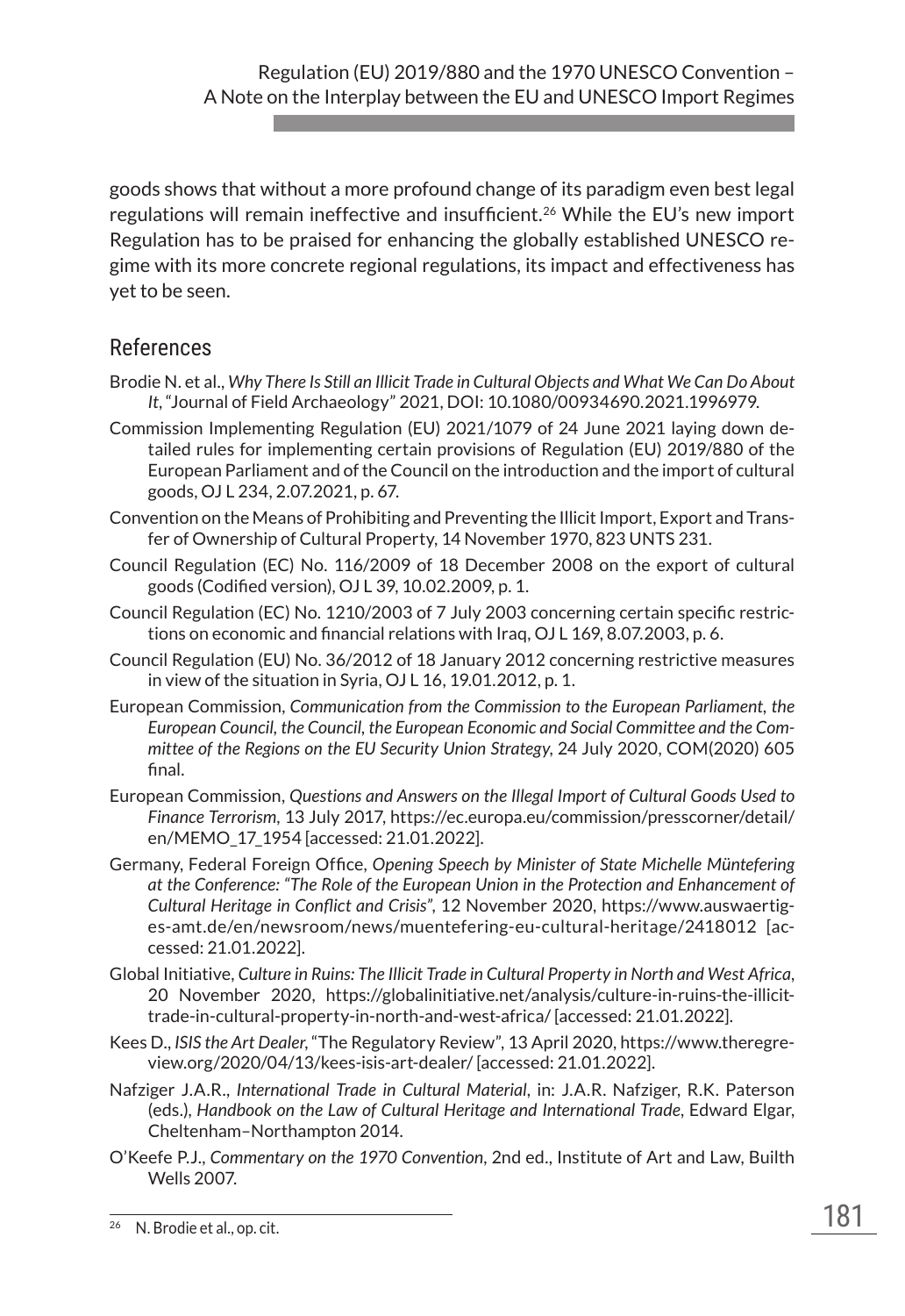goods shows that without a more profound change of its paradigm even best legal regulations will remain ineffective and insufficient.26 While the EU's new import Regulation has to be praised for enhancing the globally established UNESCO regime with its more concrete regional regulations, its impact and effectiveness has yet to be seen.

## References

- Brodie N. et al., *Why There Is Still an Illicit Trade in Cultural Objects and What We Can Do About It*, "Journal of Field Archaeology" 2021, DOI: 10.1080/00934690.2021.1996979.
- Commission Implementing Regulation (EU) 2021/1079 of 24 June 2021 laying down detailed rules for implementing certain provisions of Regulation (EU) 2019/880 of the European Parliament and of the Council on the introduction and the import of cultural goods, OJ L 234, 2.07.2021, p. 67.
- Convention on the Means of Prohibiting and Preventing the Illicit Import, Export and Transfer of Ownership of Cultural Property, 14 November 1970, 823 UNTS 231.
- Council Regulation (EC) No. 116/2009 of 18 December 2008 on the export of cultural goods (Codified version), OJ L 39, 10.02.2009, p. 1.
- Council Regulation (EC) No. 1210/2003 of 7 July 2003 concerning certain specific restrictions on economic and financial relations with Iraq, OJ L 169, 8.07.2003, p. 6.
- Council Regulation (EU) No. 36/2012 of 18 January 2012 concerning restrictive measures in view of the situation in Syria, OJ L 16, 19.01.2012, p. 1.
- European Commission, *Communication from the Commission to the European Parliament, the European Council, the Council, the European Economic and Social Committee and the Committee of the Regions on the EU Security Union Strategy*, 24 July 2020, COM(2020) 605 final.
- European Commission, *Questions and Answers on the Illegal Import of Cultural Goods Used to Finance Terrorism*, 13 July 2017, https://ec.europa.eu/commission/presscorner/detail/ en/MEMO\_17\_1954 [accessed: 21.01.2022].
- Germany, Federal Foreign Office, *Opening Speech by Minister of State Michelle Müntefering at the Conference: "The Role of the European Union in the Protection and Enhancement of Cultural Heritage in Conflict and Crisis"*, 12 November 2020, https://www.auswaertiges-amt.de/en/newsroom/news/muentefering-eu-cultural-heritage/2418012 [accessed: 21.01.2022].
- Global Initiative, *Culture in Ruins: The Illicit Trade in Cultural Property in North and West Africa*, 20 November 2020, https://globalinitiative.net/analysis/culture-in-ruins-the-illicittrade-in-cultural-property-in-north-and-west-africa/ [accessed: 21.01.2022].
- Kees D., *ISIS the Art Dealer*, "The Regulatory Review", 13 April 2020, https://www.theregreview.org/2020/04/13/kees-isis-art-dealer/ [accessed: 21.01.2022].
- Nafziger J.A.R., *International Trade in Cultural Material*, in: J.A.R. Nafziger, R.K. Paterson (eds.), *Handbook on the Law of Cultural Heritage and International Trade*, Edward Elgar, Cheltenham–Northampton 2014.
- O'Keefe P.J., *Commentary on the 1970 Convention*, 2nd ed., Institute of Art and Law, Builth Wells 2007.